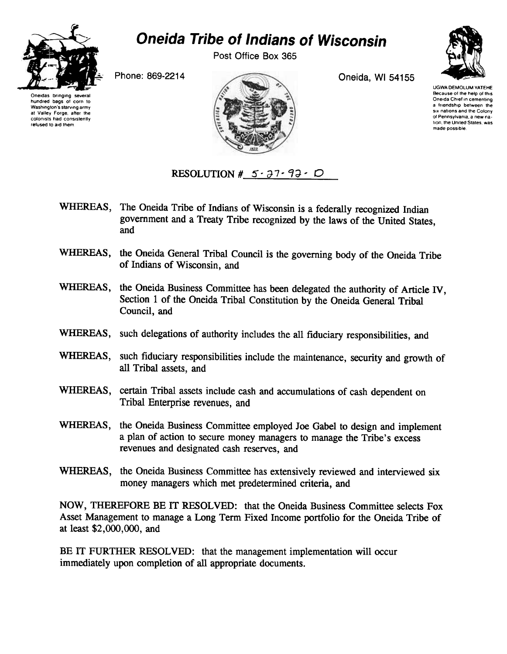

Washington's starving army at Valley Forge, after the colonists had consistently refused to aid them

## Oneida Tribe of Indians of Wisconsin

Post Office Box 365



UGWA DEMOLUM YATEHE Because of the help of this Oneida Chief in cementing a friendship between the six nations and the Colony of Pennsylvania, a new nation, the United States, was made possible

Oneidas bringing hundred bags of corn to



WHEREAS, The Oneida Tribe of Indians of Wisconsin is a federally recognized Indian government and a Treaty Tribe recognized by the laws of the United States, and

RESOLUTION #  $5.37.93 \cdot D$ 

- WHEREAS, the Oneida General Tribal Council is the governing body of the Oneida Tribe of Indians of Wisconsin, and
- WHEREAS, the Oneida Business Committee has been delegated the authority of Article IV, Section 1 of the Oneida Tribal Constitution by the Oneida General Tribal Council, and
- WHEREAS, such delegations of authority includes the all fiduciary responsibilities, and
- WHEREAS, such fiduciary responsibilities include the maintenance, security and growth of all Tribal assets, and
- WHEREAS, certain Tribal assets include cash and accumulations of cash dependent on Tribal Enterprise revenues, and
- WHEREAS, the Oneida Business Committee employed Joe Gabel to design and implement a plan of action to secure money managers to manage the Tribe's excess revenues and designated cash reserves, and
- WHEREAS, the Oneida Business Committee has extensively reviewed and interviewed six money managers which met predetermined criteria, and

NOW, THEREFORE BE IT RESOLVED: that the Oneida Business Committee selects Fox Asset Management to manage a Long Term Fixed Income portfolio for the Oneida Tribe of at least \$2,000,000, and

BE IT FURTHER RESOLVED: that the management implementation will occur immediately upon completion of all appropriate documents.